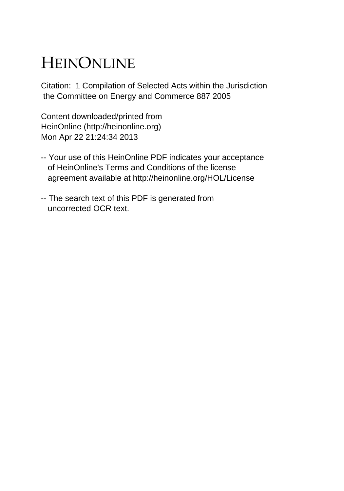# HEINONLINE

Citation: 1 Compilation of Selected Acts within the Jurisdiction the Committee on Energy and Commerce 887 2005

Content downloaded/printed from HeinOnline (http://heinonline.org) Mon Apr 22 21:24:34 2013

- -- Your use of this HeinOnline PDF indicates your acceptance of HeinOnline's Terms and Conditions of the license agreement available at http://heinonline.org/HOL/License
- -- The search text of this PDF is generated from uncorrected OCR text.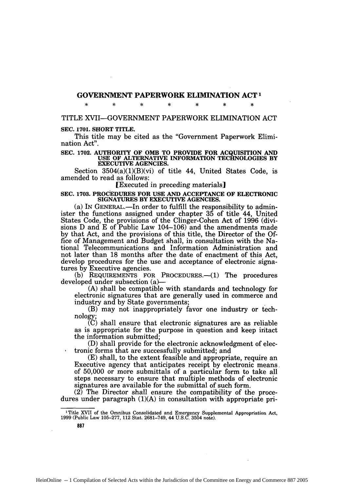# **GOVERNMENT PAPERWORK ELIMINATION ACT<sup>1</sup>**

**\* \* \* \* \* \* \***

# TITLE XVII-GOVERNMENT PAPERWORK ELIMINATION **ACT**

#### **SEC. 1701. SHORT TITLE.**

This title may be cited as the "Government Paperwork Elimination Act".

# **SEC. 1702. AUTHORITY OF OMB TO PROVIDE FOR ACQUISITION AND USE OF ALTERNATIVE INFORMATION TECHNOLOGIES BY EXECUTIVE AGENCIES.**

Section 3504(a)(1)(B)(vi) of title 44, United States Code, is amended to read as follows:

#### [Executed in preceding materials]

#### **SEC. 1703. PROCEDURES FOR USE AND ACCEPTANCE OF ELECTRONIC SIGNATURES BY EXECUTIVE AGENCIES.**

(a) IN GENERAL.—In order to fulfill the responsibility to administer the functions assigned under chapter **35** of title 44, United States Code, the provisions of the Clinger-Cohen Act of **1996** (divisions **D** and **E** of Public Law 104-106) and the amendments made **by** that Act, and the provisions of this title, the Director of the **Of**fice of Management and Budget shall, in consultation with the National Telecommunications and Information Administration and not later than 18 months after the date of enactment of this Act, develop procedures for the use and acceptance of electronic signatures by Executive agencies.

(b) REQUIREMENTS FOR PROCEDURES.—(1) The procedures developed under subsection (a)-

(A) shall be compatible with standards and technology for electronic signatures that are generally used in commerce and industry and by State governments;

(B) may not inappropriately favor one industry or technology;

(C) shall ensure that electronic signatures are as reliable as is appropriate for the purpose in question and keep intact the information submitted;

(D) shall provide for the electronic acknowledgment of electronic forms that are successfully submitted; and

(E) shall, to the extent feasible and appropriate, require an Executive agency that anticipates receipt by electronic means. of 50,000 or more submittals of a particular form to take all steps necessary to ensure that multiple methods of electronic signatures are available for the submittal of such form.

 $(2)$  The Director shall ensure the compatibility of the procedures under paragraph (1)(A) in consultation with appropriate pri-

The Tennis Consolidated and Emergency Supplemental Appropriation Act 1999 (Public Law 105-277, 112 Stat. 2681-749, 44 U.S.C. 3504 note).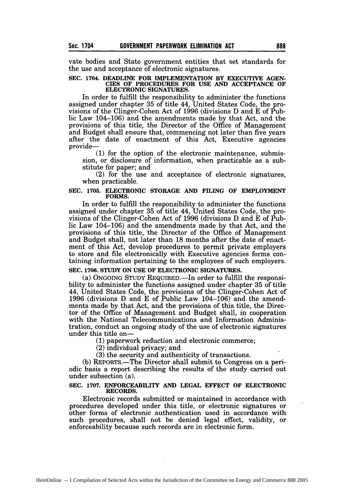vate bodies and State government entities that set standards for the use and acceptance of electronic signatures.

#### **SEC. 1704. DEADLINE FOR IMPLEMENTATION BY EXECUTIVE AGEN-CIES OF PROCEDURES FOR USE AND ACCEPTANCE OF ELECTRONIC SIGNATURES.**

In order to fulfill the responsibility to administer the functions assigned under chapter 35 of title 44, United States Code, the provisions of the Clinger-Cohen Act of 1996 (divisions D and E of Public Law 104-106) and the amendments made by that Act, and the provisions of this title, the Director of the Office of Management and Budget shall ensure that, commencing not later than five years after the date of enactment of this Act, Executive agencies provide-

**(1)** for the option of the electronic maintenance, submission, or disclosure of information, when practicable as a substitute for paper; and

(2) for the use and acceptance of electronic signatures, when practicable.

#### **SEC. 1705. ELECTRONIC STORAGE AND FILING OF EMPLOYMENT FORMS.**

In order to fulfill the responsibility to administer the functions assigned under chapter **35** of title 44, United States Code, the provisions of the Clinger-Cohen Act of **1996** (divisions **D** and **E** of Public Law 104-106) and the amendments made **by** that Act, and the provisions of this title, the Director of the Office of Management and Budget shall, not later than **18** months after the date of enactment of this Act, develop procedures to permit private employers to store and file electronically with Executive agencies forms containing information pertaining to the employees of such employers.

# **SEC. 1706. STUDY ON USE OF ELECTRONIC SIGNATURES.**

(a) **ONGOING** STUDY REQUIRED.-In order to fulfill the responsibility to administer the functions assigned under chapter **35** of title 44, United States Code, the provisions of the Clinger-Cohen Act of **1996** (divisions **D** and **E** of Public Law 104-106) and the amendments made **by** that Act, and the provisions of this title, the Director of the Office of Management and Budget shall, in cooperation with the National Telecommunications and Information Administration, conduct an ongoing study of the use of electronic signatures under this title on-

**(1)** paperwork reduction and electronic commerce;

(2) individual privacy; and

**(3)** the security and authenticity of transactions.

(b) REPORTS.-The Director shall submit to Congress on a periodic basis a report describing the results of the study carried out under subsection (a).

#### **SEC. 1707.** ENFORCEABILITY **AND LEGAL EFFECT OF** ELECTRONIC **RECORDS.**

Electronic records submitted or maintained in accordance with procedures developed under this title, or electronic signatures or other forms of electronic authentication used in accordance with such procedures, shall not be denied legal effect, validity, or enforceability because such records are in electronic form.